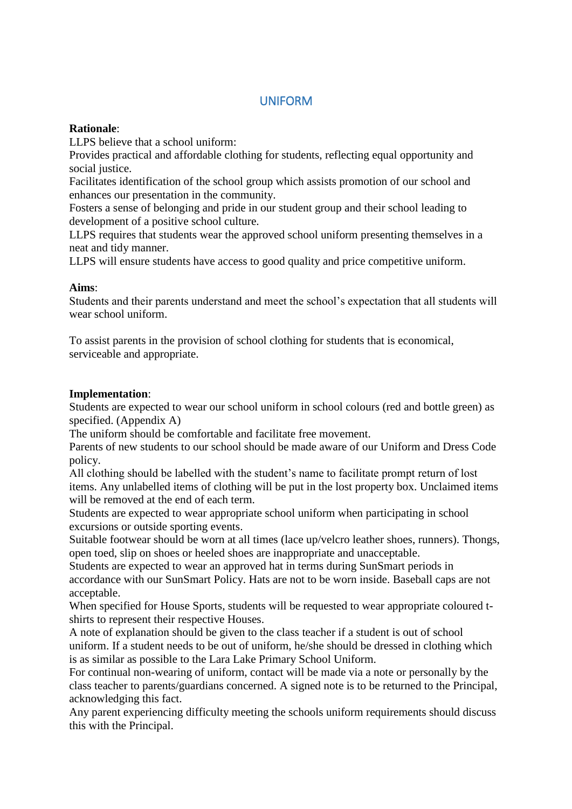## UNIFORM

#### **Rationale**:

LLPS believe that a school uniform:

Provides practical and affordable clothing for students, reflecting equal opportunity and social justice.

Facilitates identification of the school group which assists promotion of our school and enhances our presentation in the community.

Fosters a sense of belonging and pride in our student group and their school leading to development of a positive school culture.

LLPS requires that students wear the approved school uniform presenting themselves in a neat and tidy manner.

LLPS will ensure students have access to good quality and price competitive uniform.

#### **Aims**:

Students and their parents understand and meet the school's expectation that all students will wear school uniform.

To assist parents in the provision of school clothing for students that is economical, serviceable and appropriate.

#### **Implementation**:

Students are expected to wear our school uniform in school colours (red and bottle green) as specified. (Appendix A)

The uniform should be comfortable and facilitate free movement.

Parents of new students to our school should be made aware of our Uniform and Dress Code policy.

All clothing should be labelled with the student's name to facilitate prompt return of lost items. Any unlabelled items of clothing will be put in the lost property box. Unclaimed items will be removed at the end of each term.

Students are expected to wear appropriate school uniform when participating in school excursions or outside sporting events.

Suitable footwear should be worn at all times (lace up/velcro leather shoes, runners). Thongs, open toed, slip on shoes or heeled shoes are inappropriate and unacceptable.

Students are expected to wear an approved hat in terms during SunSmart periods in accordance with our SunSmart Policy. Hats are not to be worn inside. Baseball caps are not acceptable.

When specified for House Sports, students will be requested to wear appropriate coloured tshirts to represent their respective Houses.

A note of explanation should be given to the class teacher if a student is out of school uniform. If a student needs to be out of uniform, he/she should be dressed in clothing which is as similar as possible to the Lara Lake Primary School Uniform.

For continual non-wearing of uniform, contact will be made via a note or personally by the class teacher to parents/guardians concerned. A signed note is to be returned to the Principal, acknowledging this fact.

Any parent experiencing difficulty meeting the schools uniform requirements should discuss this with the Principal.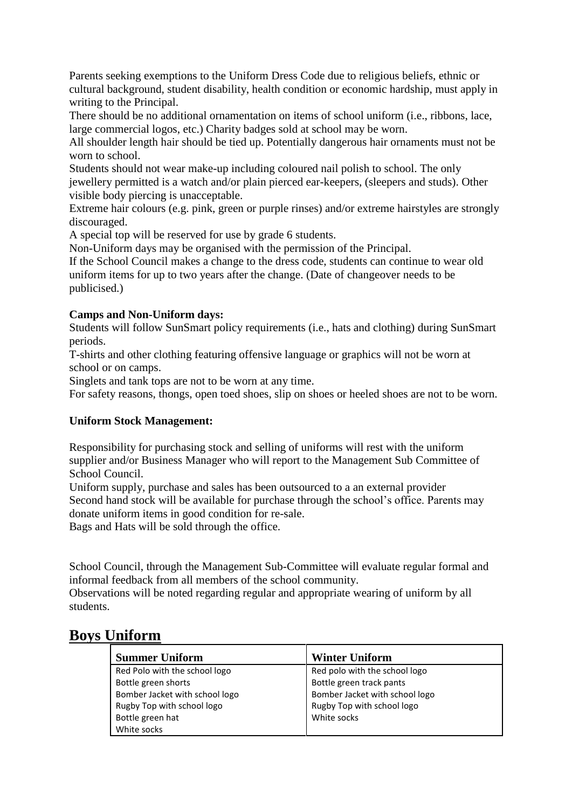Parents seeking exemptions to the Uniform Dress Code due to religious beliefs, ethnic or cultural background, student disability, health condition or economic hardship, must apply in writing to the Principal.

There should be no additional ornamentation on items of school uniform (i.e., ribbons, lace, large commercial logos, etc.) Charity badges sold at school may be worn.

All shoulder length hair should be tied up. Potentially dangerous hair ornaments must not be worn to school.

Students should not wear make-up including coloured nail polish to school. The only jewellery permitted is a watch and/or plain pierced ear-keepers, (sleepers and studs). Other visible body piercing is unacceptable.

Extreme hair colours (e.g. pink, green or purple rinses) and/or extreme hairstyles are strongly discouraged.

A special top will be reserved for use by grade 6 students.

Non-Uniform days may be organised with the permission of the Principal.

If the School Council makes a change to the dress code, students can continue to wear old uniform items for up to two years after the change. (Date of changeover needs to be publicised.)

#### **Camps and Non-Uniform days:**

Students will follow SunSmart policy requirements (i.e., hats and clothing) during SunSmart periods.

T-shirts and other clothing featuring offensive language or graphics will not be worn at school or on camps.

Singlets and tank tops are not to be worn at any time.

For safety reasons, thongs, open toed shoes, slip on shoes or heeled shoes are not to be worn.

#### **Uniform Stock Management:**

Responsibility for purchasing stock and selling of uniforms will rest with the uniform supplier and/or Business Manager who will report to the Management Sub Committee of School Council.

Uniform supply, purchase and sales has been outsourced to a an external provider Second hand stock will be available for purchase through the school's office. Parents may donate uniform items in good condition for re-sale.

Bags and Hats will be sold through the office.

School Council, through the Management Sub-Committee will evaluate regular formal and informal feedback from all members of the school community.

Observations will be noted regarding regular and appropriate wearing of uniform by all students.

# **Boys Uniform**

| <b>Summer Uniform</b>          | <b>Winter Uniform</b>          |
|--------------------------------|--------------------------------|
| Red Polo with the school logo  | Red polo with the school logo  |
| Bottle green shorts            | Bottle green track pants       |
| Bomber Jacket with school logo | Bomber Jacket with school logo |
| Rugby Top with school logo     | Rugby Top with school logo     |
| Bottle green hat               | White socks                    |
| White socks                    |                                |